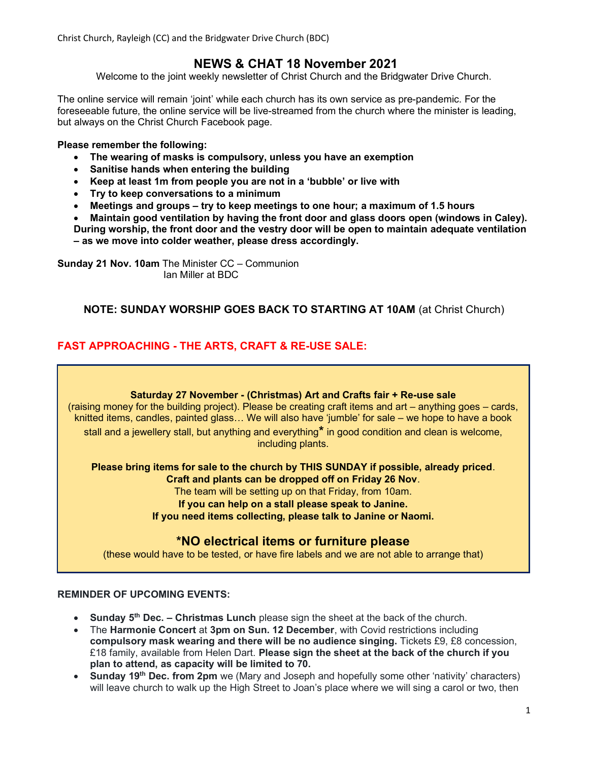Christ Church, Rayleigh (CC) and the Bridgwater Drive Church (BDC)

# NEWS & CHAT 18 November 2021

Welcome to the joint weekly newsletter of Christ Church and the Bridgwater Drive Church.

The online service will remain 'joint' while each church has its own service as pre-pandemic. For the foreseeable future, the online service will be live-streamed from the church where the minister is leading, but always on the Christ Church Facebook page.

#### Please remember the following:

- The wearing of masks is compulsory, unless you have an exemption
- Sanitise hands when entering the building
- Keep at least 1m from people you are not in a 'bubble' or live with
- Try to keep conversations to a minimum
- Meetings and groups try to keep meetings to one hour; a maximum of 1.5 hours

 Maintain good ventilation by having the front door and glass doors open (windows in Caley). During worship, the front door and the vestry door will be open to maintain adequate ventilation

– as we move into colder weather, please dress accordingly.

Sunday 21 Nov. 10am The Minister CC – Communion Ian Miller at BDC

## NOTE: SUNDAY WORSHIP GOES BACK TO STARTING AT 10AM (at Christ Church)

## FAST APPROACHING - THE ARTS, CRAFT & RE-USE SALE:

#### Saturday 27 November - (Christmas) Art and Crafts fair + Re-use sale

(raising money for the building project). Please be creating craft items and art – anything goes – cards, knitted items, candles, painted glass… We will also have 'jumble' for sale – we hope to have a book stall and a jewellery stall, but anything and everything\* in good condition and clean is welcome, including plants.

Please bring items for sale to the church by THIS SUNDAY if possible, already priced. Craft and plants can be dropped off on Friday 26 Nov. The team will be setting up on that Friday, from 10am. If you can help on a stall please speak to Janine.

If you need items collecting, please talk to Janine or Naomi.

## \*NO electrical items or furniture please

(these would have to be tested, or have fire labels and we are not able to arrange that)

#### REMINDER OF UPCOMING EVENTS:

- **Sunday 5<sup>th</sup> Dec. Christmas Lunch** please sign the sheet at the back of the church.
- The Harmonie Concert at 3pm on Sun. 12 December, with Covid restrictions including compulsory mask wearing and there will be no audience singing. Tickets £9, £8 concession, £18 family, available from Helen Dart. Please sign the sheet at the back of the church if you plan to attend, as capacity will be limited to 70.
- Sunday 19<sup>th</sup> Dec. from 2pm we (Mary and Joseph and hopefully some other 'nativity' characters) will leave church to walk up the High Street to Joan's place where we will sing a carol or two, then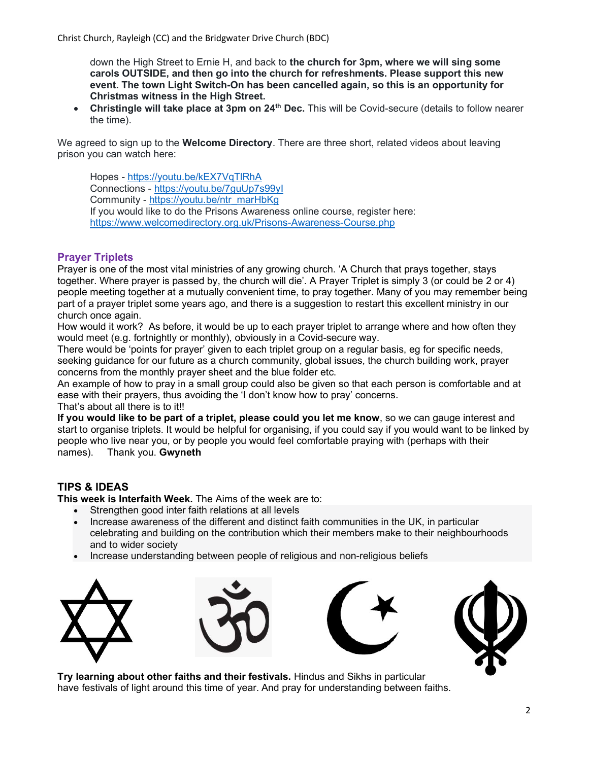down the High Street to Ernie H, and back to the church for 3pm, where we will sing some carols OUTSIDE, and then go into the church for refreshments. Please support this new event. The town Light Switch-On has been cancelled again, so this is an opportunity for Christmas witness in the High Street.

**Christingle will take place at 3pm on 24<sup>th</sup> Dec.** This will be Covid-secure (details to follow nearer the time).

We agreed to sign up to the Welcome Directory. There are three short, related videos about leaving prison you can watch here:

Hopes - https://youtu.be/kEX7VqTlRhA Connections - https://youtu.be/7guUp7s99yI Community - https://youtu.be/ntr\_marHbKg If you would like to do the Prisons Awareness online course, register here: https://www.welcomedirectory.org.uk/Prisons-Awareness-Course.php

## Prayer Triplets

Prayer is one of the most vital ministries of any growing church. 'A Church that prays together, stays together. Where prayer is passed by, the church will die'. A Prayer Triplet is simply 3 (or could be 2 or 4) people meeting together at a mutually convenient time, to pray together. Many of you may remember being part of a prayer triplet some years ago, and there is a suggestion to restart this excellent ministry in our church once again.

How would it work? As before, it would be up to each prayer triplet to arrange where and how often they would meet (e.g. fortnightly or monthly), obviously in a Covid-secure way.

There would be 'points for prayer' given to each triplet group on a regular basis, eg for specific needs, seeking guidance for our future as a church community, global issues, the church building work, prayer concerns from the monthly prayer sheet and the blue folder etc.

An example of how to pray in a small group could also be given so that each person is comfortable and at ease with their prayers, thus avoiding the 'I don't know how to pray' concerns.

That's about all there is to it!!

If you would like to be part of a triplet, please could you let me know, so we can gauge interest and start to organise triplets. It would be helpful for organising, if you could say if you would want to be linked by people who live near you, or by people you would feel comfortable praying with (perhaps with their names). Thank you. Gwyneth

## TIPS & IDEAS

This week is Interfaith Week. The Aims of the week are to:

- Strengthen good inter faith relations at all levels
- Increase awareness of the different and distinct faith communities in the UK, in particular celebrating and building on the contribution which their members make to their neighbourhoods and to wider society
- Increase understanding between people of religious and non-religious beliefs









Try learning about other faiths and their festivals. Hindus and Sikhs in particular have festivals of light around this time of year. And pray for understanding between faiths.